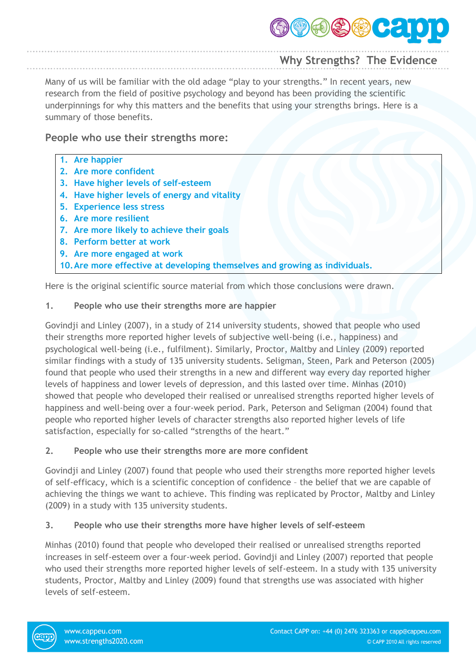

# **Why Strengths? The Evidence**

Many of us will be familiar with the old adage "play to your strengths." In recent years, new research from the field of positive psychology and beyond has been providing the scientific underpinnings for why this matters and the benefits that using your strengths brings. Here is a summary of those benefits.

### **People who use their strengths more:**

- **1. Are happier**
- **2. Are more confident**
- **3. Have higher levels of self-esteem**
- **4. Have higher levels of energy and vitality**
- **5. Experience less stress**
- **6. Are more resilient**
- **7. Are more likely to achieve their goals**
- **8. Perform better at work**
- **9. Are more engaged at work**
- **10.Are more effective at developing themselves and growing as individuals.**

Here is the original scientific source material from which those conclusions were drawn.

#### **1. People who use their strengths more are happier**

Govindji and Linley (2007), in a study of 214 university students, showed that people who used their strengths more reported higher levels of subjective well-being (i.e., happiness) and psychological well-being (i.e., fulfilment). Similarly, Proctor, Maltby and Linley (2009) reported similar findings with a study of 135 university students. Seligman, Steen, Park and Peterson (2005) found that people who used their strengths in a new and different way every day reported higher levels of happiness and lower levels of depression, and this lasted over time. Minhas (2010) showed that people who developed their realised or unrealised strengths reported higher levels of happiness and well-being over a four-week period. Park, Peterson and Seligman (2004) found that people who reported higher levels of character strengths also reported higher levels of life satisfaction, especially for so-called "strengths of the heart."

#### **2. People who use their strengths more are more confident**

Govindji and Linley (2007) found that people who used their strengths more reported higher levels of self-efficacy, which is a scientific conception of confidence – the belief that we are capable of achieving the things we want to achieve. This finding was replicated by Proctor, Maltby and Linley (2009) in a study with 135 university students.

#### **3. People who use their strengths more have higher levels of self-esteem**

Minhas (2010) found that people who developed their realised or unrealised strengths reported increases in self-esteem over a four-week period. Govindji and Linley (2007) reported that people who used their strengths more reported higher levels of self-esteem. In a study with 135 university students, Proctor, Maltby and Linley (2009) found that strengths use was associated with higher levels of self-esteem.

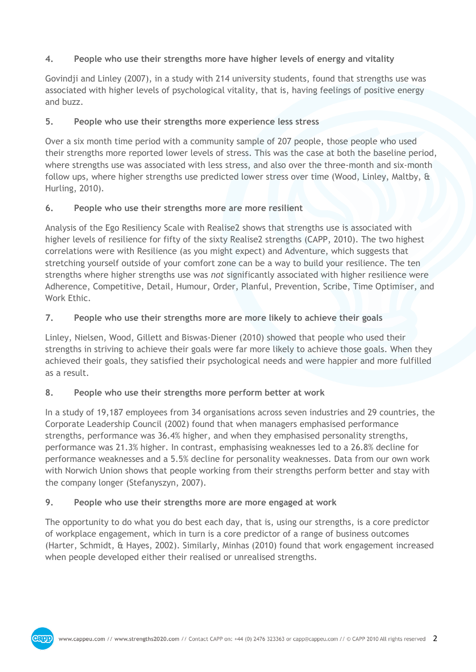## **4. People who use their strengths more have higher levels of energy and vitality**

Govindji and Linley (2007), in a study with 214 university students, found that strengths use was associated with higher levels of psychological vitality, that is, having feelings of positive energy and buzz.

## **5. People who use their strengths more experience less stress**

Over a six month time period with a community sample of 207 people, those people who used their strengths more reported lower levels of stress. This was the case at both the baseline period, where strengths use was associated with less stress, and also over the three-month and six-month follow ups, where higher strengths use predicted lower stress over time (Wood, Linley, Maltby, & Hurling, 2010).

## **6. People who use their strengths more are more resilient**

Analysis of the Ego Resiliency Scale with Realise2 shows that strengths use is associated with higher levels of resilience for fifty of the sixty Realise2 strengths (CAPP, 2010). The two highest correlations were with Resilience (as you might expect) and Adventure, which suggests that stretching yourself outside of your comfort zone can be a way to build your resilience. The ten strengths where higher strengths use was *not* significantly associated with higher resilience were Adherence, Competitive, Detail, Humour, Order, Planful, Prevention, Scribe, Time Optimiser, and Work Ethic.

# **7. People who use their strengths more are more likely to achieve their goals**

Linley, Nielsen, Wood, Gillett and Biswas-Diener (2010) showed that people who used their strengths in striving to achieve their goals were far more likely to achieve those goals. When they achieved their goals, they satisfied their psychological needs and were happier and more fulfilled as a result.

## **8. People who use their strengths more perform better at work**

In a study of 19,187 employees from 34 organisations across seven industries and 29 countries, the Corporate Leadership Council (2002) found that when managers emphasised performance strengths, performance was 36.4% higher, and when they emphasised personality strengths, performance was 21.3% higher. In contrast, emphasising weaknesses led to a 26.8% decline for performance weaknesses and a 5.5% decline for personality weaknesses. Data from our own work with Norwich Union shows that people working from their strengths perform better and stay with the company longer (Stefanyszyn, 2007).

## **9. People who use their strengths more are more engaged at work**

The opportunity to do what you do best each day, that is, using our strengths, is a core predictor of workplace engagement, which in turn is a core predictor of a range of business outcomes (Harter, Schmidt, & Hayes, 2002). Similarly, Minhas (2010) found that work engagement increased when people developed either their realised or unrealised strengths.